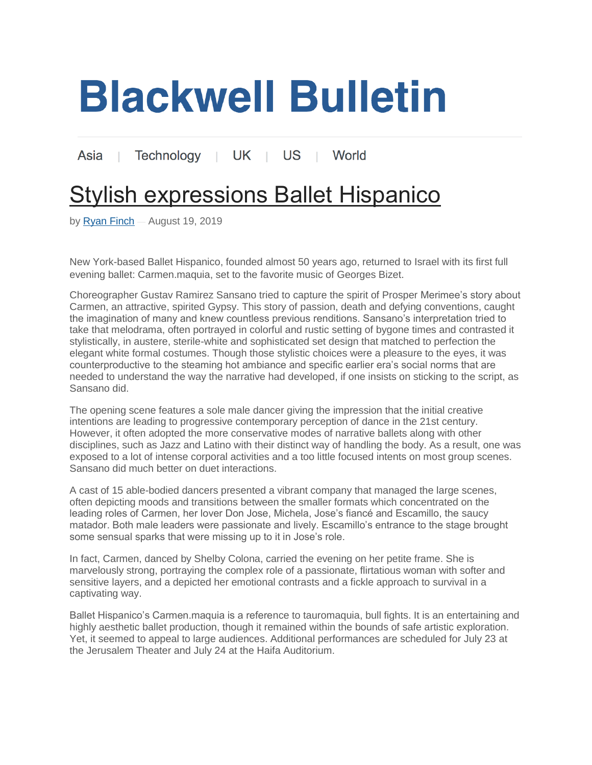## **Blackwell Bulletin**

Technology | UK | US | World Asia

## **[Stylish expressions Ballet Hispanico](https://blackwellbulletin.com/stylish-expressions-ballet-hispanico.html)**

by [Ryan Finch](https://blackwellbulletin.com/author/admin) — August 19, 2019

New York-based Ballet Hispanico, founded almost 50 years ago, returned to Israel with its first full evening ballet: Carmen.maquia, set to the favorite music of Georges Bizet.

Choreographer Gustav Ramirez Sansano tried to capture the spirit of Prosper Merimee's story about Carmen, an attractive, spirited Gypsy. This story of passion, death and defying conventions, caught the imagination of many and knew countless previous renditions. Sansano's interpretation tried to take that melodrama, often portrayed in colorful and rustic setting of bygone times and contrasted it stylistically, in austere, sterile-white and sophisticated set design that matched to perfection the elegant white formal costumes. Though those stylistic choices were a pleasure to the eyes, it was counterproductive to the steaming hot ambiance and specific earlier era's social norms that are needed to understand the way the narrative had developed, if one insists on sticking to the script, as Sansano did.

The opening scene features a sole male dancer giving the impression that the initial creative intentions are leading to progressive contemporary perception of dance in the 21st century. However, it often adopted the more conservative modes of narrative ballets along with other disciplines, such as Jazz and Latino with their distinct way of handling the body. As a result, one was exposed to a lot of intense corporal activities and a too little focused intents on most group scenes. Sansano did much better on duet interactions.

A cast of 15 able-bodied dancers presented a vibrant company that managed the large scenes, often depicting moods and transitions between the smaller formats which concentrated on the leading roles of Carmen, her lover Don Jose, Michela, Jose's fiancé and Escamillo, the saucy matador. Both male leaders were passionate and lively. Escamillo's entrance to the stage brought some sensual sparks that were missing up to it in Jose's role.

In fact, Carmen, danced by Shelby Colona, carried the evening on her petite frame. She is marvelously strong, portraying the complex role of a passionate, flirtatious woman with softer and sensitive layers, and a depicted her emotional contrasts and a fickle approach to survival in a captivating way.

Ballet Hispanico's Carmen.maquia is a reference to tauromaquia, bull fights. It is an entertaining and highly aesthetic ballet production, though it remained within the bounds of safe artistic exploration. Yet, it seemed to appeal to large audiences. Additional performances are scheduled for July 23 at the Jerusalem Theater and July 24 at the Haifa Auditorium.